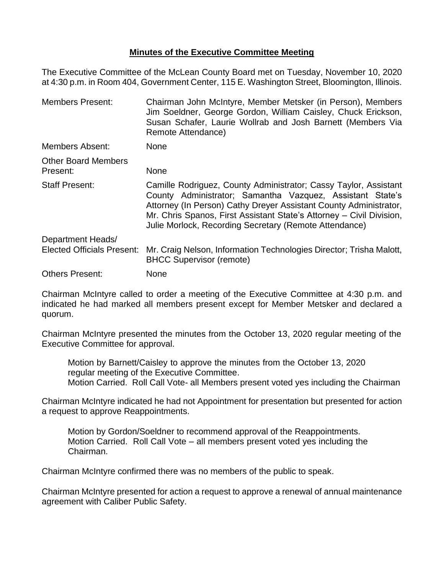## **Minutes of the Executive Committee Meeting**

The Executive Committee of the McLean County Board met on Tuesday, November 10, 2020 at 4:30 p.m. in Room 404, Government Center, 115 E. Washington Street, Bloomington, Illinois.

Members Present: Chairman John McIntyre, Member Metsker (in Person), Members Jim Soeldner, George Gordon, William Caisley, Chuck Erickson, Susan Schafer, Laurie Wollrab and Josh Barnett (Members Via Remote Attendance) Members Absent: None Other Board Members Present: None Staff Present: Camille Rodriguez, County Administrator; Cassy Taylor, Assistant County Administrator; Samantha Vazquez, Assistant State's Attorney (In Person) Cathy Dreyer Assistant County Administrator, Mr. Chris Spanos, First Assistant State's Attorney – Civil Division, Julie Morlock, Recording Secretary (Remote Attendance) Department Heads/ Elected Officials Present: Mr. Craig Nelson, Information Technologies Director; Trisha Malott, BHCC Supervisor (remote) Others Present: None

Chairman McIntyre called to order a meeting of the Executive Committee at 4:30 p.m. and indicated he had marked all members present except for Member Metsker and declared a quorum.

Chairman McIntyre presented the minutes from the October 13, 2020 regular meeting of the Executive Committee for approval.

Motion by Barnett/Caisley to approve the minutes from the October 13, 2020 regular meeting of the Executive Committee. Motion Carried. Roll Call Vote- all Members present voted yes including the Chairman

Chairman McIntyre indicated he had not Appointment for presentation but presented for action a request to approve Reappointments.

Motion by Gordon/Soeldner to recommend approval of the Reappointments. Motion Carried. Roll Call Vote – all members present voted yes including the Chairman.

Chairman McIntyre confirmed there was no members of the public to speak.

Chairman McIntyre presented for action a request to approve a renewal of annual maintenance agreement with Caliber Public Safety.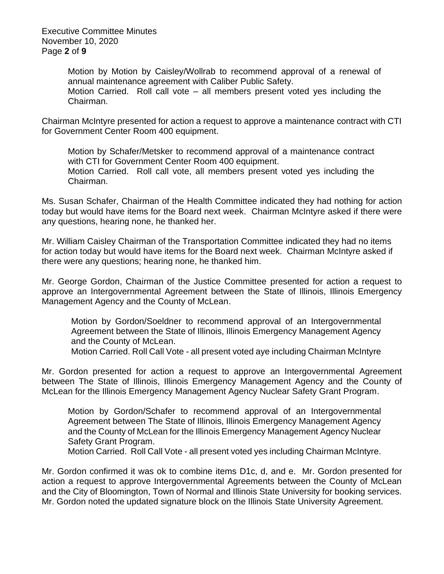Executive Committee Minutes November 10, 2020 Page **2** of **9**

> Motion by Motion by Caisley/Wollrab to recommend approval of a renewal of annual maintenance agreement with Caliber Public Safety. Motion Carried. Roll call vote – all members present voted yes including the Chairman.

Chairman McIntyre presented for action a request to approve a maintenance contract with CTI for Government Center Room 400 equipment.

Motion by Schafer/Metsker to recommend approval of a maintenance contract with CTI for Government Center Room 400 equipment. Motion Carried. Roll call vote, all members present voted yes including the Chairman.

Ms. Susan Schafer, Chairman of the Health Committee indicated they had nothing for action today but would have items for the Board next week. Chairman McIntyre asked if there were any questions, hearing none, he thanked her.

Mr. William Caisley Chairman of the Transportation Committee indicated they had no items for action today but would have items for the Board next week. Chairman McIntyre asked if there were any questions; hearing none, he thanked him.

Mr. George Gordon, Chairman of the Justice Committee presented for action a request to approve an Intergovernmental Agreement between the State of Illinois, Illinois Emergency Management Agency and the County of McLean.

Motion by Gordon/Soeldner to recommend approval of an Intergovernmental Agreement between the State of Illinois, Illinois Emergency Management Agency and the County of McLean.

Motion Carried. Roll Call Vote - all present voted aye including Chairman McIntyre

Mr. Gordon presented for action a request to approve an Intergovernmental Agreement between The State of Illinois, Illinois Emergency Management Agency and the County of McLean for the Illinois Emergency Management Agency Nuclear Safety Grant Program.

Motion by Gordon/Schafer to recommend approval of an Intergovernmental Agreement between The State of Illinois, Illinois Emergency Management Agency and the County of McLean for the Illinois Emergency Management Agency Nuclear Safety Grant Program.

Motion Carried. Roll Call Vote - all present voted yes including Chairman McIntyre.

Mr. Gordon confirmed it was ok to combine items D1c, d, and e. Mr. Gordon presented for action a request to approve Intergovernmental Agreements between the County of McLean and the City of Bloomington, Town of Normal and Illinois State University for booking services. Mr. Gordon noted the updated signature block on the Illinois State University Agreement.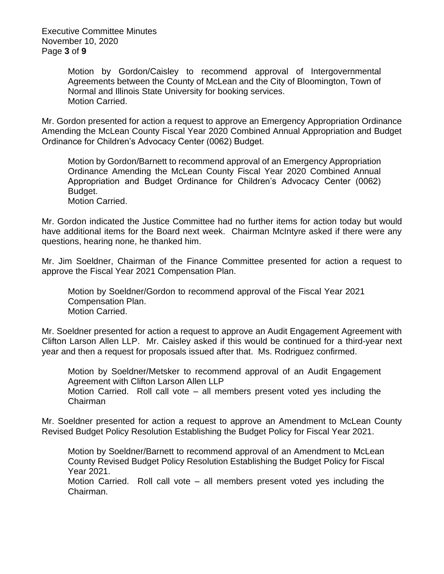Executive Committee Minutes November 10, 2020 Page **3** of **9**

> Motion by Gordon/Caisley to recommend approval of Intergovernmental Agreements between the County of McLean and the City of Bloomington, Town of Normal and Illinois State University for booking services. Motion Carried.

Mr. Gordon presented for action a request to approve an Emergency Appropriation Ordinance Amending the McLean County Fiscal Year 2020 Combined Annual Appropriation and Budget Ordinance for Children's Advocacy Center (0062) Budget.

Motion by Gordon/Barnett to recommend approval of an Emergency Appropriation Ordinance Amending the McLean County Fiscal Year 2020 Combined Annual Appropriation and Budget Ordinance for Children's Advocacy Center (0062) Budget.

Motion Carried.

Mr. Gordon indicated the Justice Committee had no further items for action today but would have additional items for the Board next week. Chairman McIntyre asked if there were any questions, hearing none, he thanked him.

Mr. Jim Soeldner, Chairman of the Finance Committee presented for action a request to approve the Fiscal Year 2021 Compensation Plan.

Motion by Soeldner/Gordon to recommend approval of the Fiscal Year 2021 Compensation Plan. Motion Carried.

Mr. Soeldner presented for action a request to approve an Audit Engagement Agreement with Clifton Larson Allen LLP. Mr. Caisley asked if this would be continued for a third-year next year and then a request for proposals issued after that. Ms. Rodriguez confirmed.

Motion by Soeldner/Metsker to recommend approval of an Audit Engagement Agreement with Clifton Larson Allen LLP Motion Carried. Roll call vote – all members present voted yes including the

Chairman

Mr. Soeldner presented for action a request to approve an Amendment to McLean County Revised Budget Policy Resolution Establishing the Budget Policy for Fiscal Year 2021.

Motion by Soeldner/Barnett to recommend approval of an Amendment to McLean County Revised Budget Policy Resolution Establishing the Budget Policy for Fiscal Year 2021.

Motion Carried. Roll call vote – all members present voted yes including the Chairman.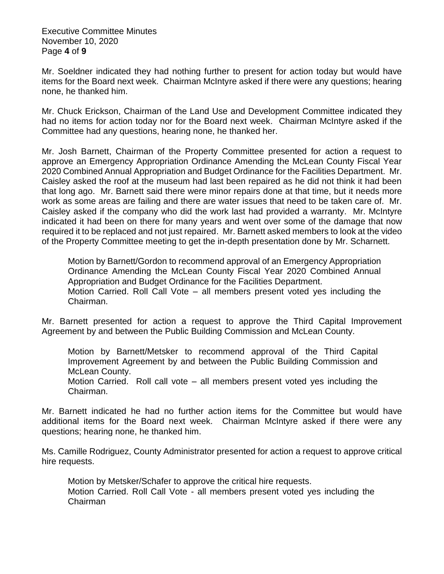Executive Committee Minutes November 10, 2020 Page **4** of **9**

Mr. Soeldner indicated they had nothing further to present for action today but would have items for the Board next week. Chairman McIntyre asked if there were any questions; hearing none, he thanked him.

Mr. Chuck Erickson, Chairman of the Land Use and Development Committee indicated they had no items for action today nor for the Board next week. Chairman McIntyre asked if the Committee had any questions, hearing none, he thanked her.

Mr. Josh Barnett, Chairman of the Property Committee presented for action a request to approve an Emergency Appropriation Ordinance Amending the McLean County Fiscal Year 2020 Combined Annual Appropriation and Budget Ordinance for the Facilities Department. Mr. Caisley asked the roof at the museum had last been repaired as he did not think it had been that long ago. Mr. Barnett said there were minor repairs done at that time, but it needs more work as some areas are failing and there are water issues that need to be taken care of. Mr. Caisley asked if the company who did the work last had provided a warranty. Mr. McIntyre indicated it had been on there for many years and went over some of the damage that now required it to be replaced and not just repaired. Mr. Barnett asked members to look at the video of the Property Committee meeting to get the in-depth presentation done by Mr. Scharnett.

Motion by Barnett/Gordon to recommend approval of an Emergency Appropriation Ordinance Amending the McLean County Fiscal Year 2020 Combined Annual Appropriation and Budget Ordinance for the Facilities Department. Motion Carried. Roll Call Vote – all members present voted yes including the Chairman.

Mr. Barnett presented for action a request to approve the Third Capital Improvement Agreement by and between the Public Building Commission and McLean County.

Motion by Barnett/Metsker to recommend approval of the Third Capital Improvement Agreement by and between the Public Building Commission and McLean County.

Motion Carried. Roll call vote – all members present voted yes including the Chairman.

Mr. Barnett indicated he had no further action items for the Committee but would have additional items for the Board next week. Chairman McIntyre asked if there were any questions; hearing none, he thanked him.

Ms. Camille Rodriguez, County Administrator presented for action a request to approve critical hire requests.

Motion by Metsker/Schafer to approve the critical hire requests. Motion Carried. Roll Call Vote - all members present voted yes including the Chairman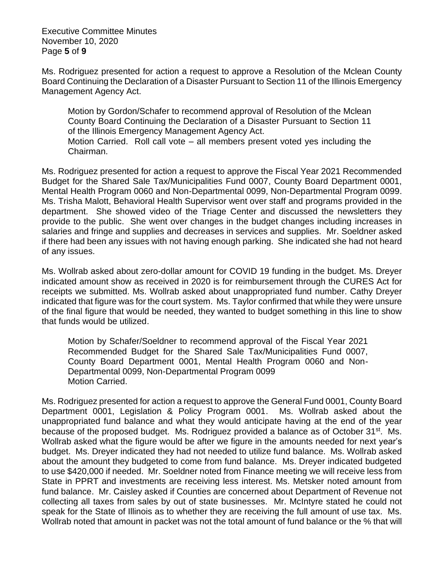Executive Committee Minutes November 10, 2020 Page **5** of **9**

Ms. Rodriguez presented for action a request to approve a Resolution of the Mclean County Board Continuing the Declaration of a Disaster Pursuant to Section 11 of the Illinois Emergency Management Agency Act.

Motion by Gordon/Schafer to recommend approval of Resolution of the Mclean County Board Continuing the Declaration of a Disaster Pursuant to Section 11 of the Illinois Emergency Management Agency Act. Motion Carried. Roll call vote – all members present voted yes including the Chairman.

Ms. Rodriguez presented for action a request to approve the Fiscal Year 2021 Recommended Budget for the Shared Sale Tax/Municipalities Fund 0007, County Board Department 0001, Mental Health Program 0060 and Non-Departmental 0099, Non-Departmental Program 0099. Ms. Trisha Malott, Behavioral Health Supervisor went over staff and programs provided in the department. She showed video of the Triage Center and discussed the newsletters they provide to the public. She went over changes in the budget changes including increases in salaries and fringe and supplies and decreases in services and supplies. Mr. Soeldner asked if there had been any issues with not having enough parking. She indicated she had not heard of any issues.

Ms. Wollrab asked about zero-dollar amount for COVID 19 funding in the budget. Ms. Dreyer indicated amount show as received in 2020 is for reimbursement through the CURES Act for receipts we submitted. Ms. Wollrab asked about unappropriated fund number. Cathy Dreyer indicated that figure was for the court system. Ms. Taylor confirmed that while they were unsure of the final figure that would be needed, they wanted to budget something in this line to show that funds would be utilized.

Motion by Schafer/Soeldner to recommend approval of the Fiscal Year 2021 Recommended Budget for the Shared Sale Tax/Municipalities Fund 0007, County Board Department 0001, Mental Health Program 0060 and Non-Departmental 0099, Non-Departmental Program 0099 Motion Carried.

Ms. Rodriguez presented for action a request to approve the General Fund 0001, County Board Department 0001, Legislation & Policy Program 0001. Ms. Wollrab asked about the unappropriated fund balance and what they would anticipate having at the end of the year because of the proposed budget. Ms. Rodriguez provided a balance as of October 31<sup>st</sup>. Ms. Wollrab asked what the figure would be after we figure in the amounts needed for next year's budget. Ms. Dreyer indicated they had not needed to utilize fund balance. Ms. Wollrab asked about the amount they budgeted to come from fund balance. Ms. Dreyer indicated budgeted to use \$420,000 if needed. Mr. Soeldner noted from Finance meeting we will receive less from State in PPRT and investments are receiving less interest. Ms. Metsker noted amount from fund balance. Mr. Caisley asked if Counties are concerned about Department of Revenue not collecting all taxes from sales by out of state businesses. Mr. McIntyre stated he could not speak for the State of Illinois as to whether they are receiving the full amount of use tax. Ms. Wollrab noted that amount in packet was not the total amount of fund balance or the % that will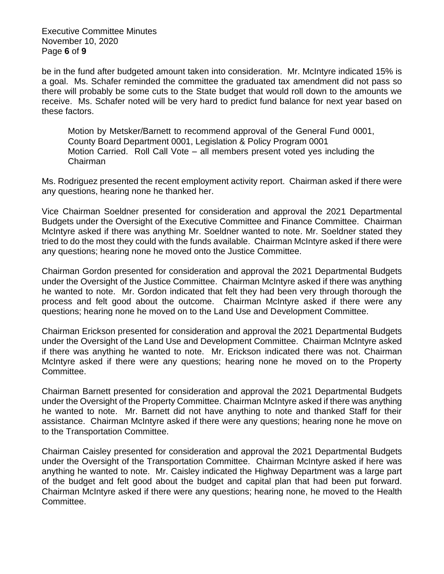Executive Committee Minutes November 10, 2020 Page **6** of **9**

be in the fund after budgeted amount taken into consideration. Mr. McIntyre indicated 15% is a goal. Ms. Schafer reminded the committee the graduated tax amendment did not pass so there will probably be some cuts to the State budget that would roll down to the amounts we receive. Ms. Schafer noted will be very hard to predict fund balance for next year based on these factors.

Motion by Metsker/Barnett to recommend approval of the General Fund 0001, County Board Department 0001, Legislation & Policy Program 0001 Motion Carried. Roll Call Vote – all members present voted yes including the Chairman

Ms. Rodriguez presented the recent employment activity report. Chairman asked if there were any questions, hearing none he thanked her.

Vice Chairman Soeldner presented for consideration and approval the 2021 Departmental Budgets under the Oversight of the Executive Committee and Finance Committee. Chairman McIntyre asked if there was anything Mr. Soeldner wanted to note. Mr. Soeldner stated they tried to do the most they could with the funds available. Chairman McIntyre asked if there were any questions; hearing none he moved onto the Justice Committee.

Chairman Gordon presented for consideration and approval the 2021 Departmental Budgets under the Oversight of the Justice Committee. Chairman McIntyre asked if there was anything he wanted to note. Mr. Gordon indicated that felt they had been very through thorough the process and felt good about the outcome. Chairman McIntyre asked if there were any questions; hearing none he moved on to the Land Use and Development Committee.

Chairman Erickson presented for consideration and approval the 2021 Departmental Budgets under the Oversight of the Land Use and Development Committee. Chairman McIntyre asked if there was anything he wanted to note. Mr. Erickson indicated there was not. Chairman McIntyre asked if there were any questions; hearing none he moved on to the Property Committee.

Chairman Barnett presented for consideration and approval the 2021 Departmental Budgets under the Oversight of the Property Committee. Chairman McIntyre asked if there was anything he wanted to note. Mr. Barnett did not have anything to note and thanked Staff for their assistance. Chairman McIntyre asked if there were any questions; hearing none he move on to the Transportation Committee.

Chairman Caisley presented for consideration and approval the 2021 Departmental Budgets under the Oversight of the Transportation Committee. Chairman McIntyre asked if here was anything he wanted to note. Mr. Caisley indicated the Highway Department was a large part of the budget and felt good about the budget and capital plan that had been put forward. Chairman McIntyre asked if there were any questions; hearing none, he moved to the Health Committee.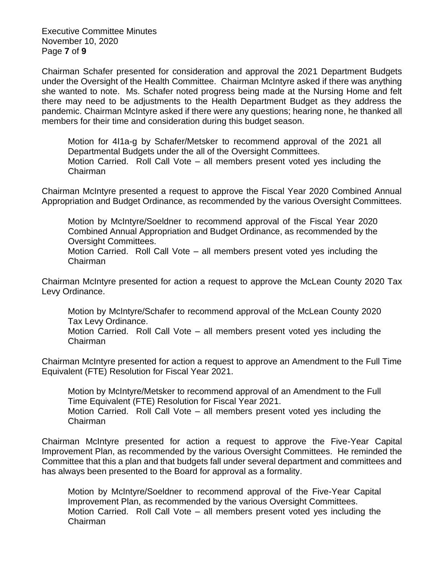Executive Committee Minutes November 10, 2020 Page **7** of **9**

Chairman Schafer presented for consideration and approval the 2021 Department Budgets under the Oversight of the Health Committee. Chairman McIntyre asked if there was anything she wanted to note. Ms. Schafer noted progress being made at the Nursing Home and felt there may need to be adjustments to the Health Department Budget as they address the pandemic. Chairman McIntyre asked if there were any questions; hearing none, he thanked all members for their time and consideration during this budget season.

Motion for 4I1a-g by Schafer/Metsker to recommend approval of the 2021 all Departmental Budgets under the all of the Oversight Committees. Motion Carried. Roll Call Vote – all members present voted yes including the Chairman

Chairman McIntyre presented a request to approve the Fiscal Year 2020 Combined Annual Appropriation and Budget Ordinance, as recommended by the various Oversight Committees.

Motion by McIntyre/Soeldner to recommend approval of the Fiscal Year 2020 Combined Annual Appropriation and Budget Ordinance, as recommended by the Oversight Committees.

Motion Carried. Roll Call Vote – all members present voted yes including the Chairman

Chairman McIntyre presented for action a request to approve the McLean County 2020 Tax Levy Ordinance.

Motion by McIntyre/Schafer to recommend approval of the McLean County 2020 Tax Levy Ordinance.

Motion Carried. Roll Call Vote – all members present voted yes including the Chairman

Chairman McIntyre presented for action a request to approve an Amendment to the Full Time Equivalent (FTE) Resolution for Fiscal Year 2021.

Motion by McIntyre/Metsker to recommend approval of an Amendment to the Full Time Equivalent (FTE) Resolution for Fiscal Year 2021. Motion Carried. Roll Call Vote – all members present voted yes including the

Chairman

Chairman McIntyre presented for action a request to approve the Five-Year Capital Improvement Plan, as recommended by the various Oversight Committees. He reminded the Committee that this a plan and that budgets fall under several department and committees and has always been presented to the Board for approval as a formality.

Motion by McIntyre/Soeldner to recommend approval of the Five-Year Capital Improvement Plan, as recommended by the various Oversight Committees. Motion Carried. Roll Call Vote – all members present voted yes including the Chairman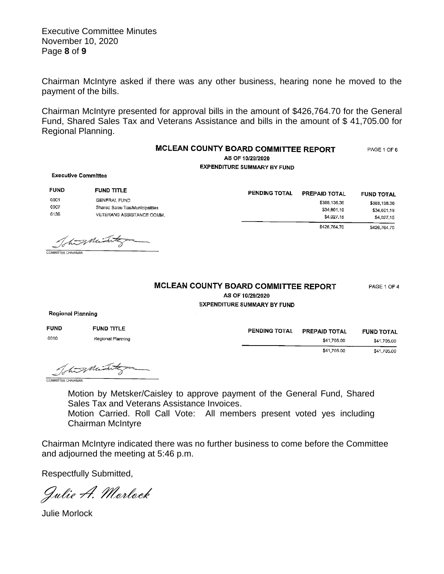Executive Committee Minutes November 10, 2020 Page **8** of **9**

Chairman McIntyre asked if there was any other business, hearing none he moved to the payment of the bills.

Chairman McIntyre presented for approval bills in the amount of \$426,764.70 for the General Fund, Shared Sales Tax and Veterans Assistance and bills in the amount of \$ 41,705.00 for Regional Planning.

| MCLEAN COUNTY BOARD COMMITTEE REPORT<br>AS OF 10/29/2020<br><b>EXPENDITURE SUMMARY BY FUND</b><br><b>Executive Committee</b> |                                                                                                   |               |                                                                   |                                                                |  |
|------------------------------------------------------------------------------------------------------------------------------|---------------------------------------------------------------------------------------------------|---------------|-------------------------------------------------------------------|----------------------------------------------------------------|--|
| <b>FUND</b><br>0001<br>0007<br>0136                                                                                          | <b>FUND TITLE</b><br>GENERAL FUND<br>Shared Sales Tax/Municipalities<br>VETERANS ASSISTANCE COMM. | PENDING TOTAL | <b>PREPAID TOTAL</b><br>\$388,136.36<br>\$34,601,19<br>\$4,027.15 | <b>FUND TOTAL</b><br>\$388,136.36<br>\$34,601.19<br>\$4,027,15 |  |
| <b>COMMITTEE CHAIRMAN</b>                                                                                                    | Tohisminist                                                                                       |               | \$426,764.70                                                      | \$426,764.70                                                   |  |

## MCLEAN COUNTY BOARD COMMITTEE REPORT PAGE 1 OF 4 AS OF 10/29/2020

**EXPENDITURE SUMMARY BY FUND** 

**Regional Planning** 

| <b>FUND</b> | <b>FUND TITLE</b> | <b>PENDING TOTAL</b> | <b>PREPAID TOTAL</b> | <b>FUND TOTAL</b> |
|-------------|-------------------|----------------------|----------------------|-------------------|
| 0010        | Regional Planning |                      | \$41,705.00          | \$41,705.00       |
|             |                   |                      | \$41,705.00          | \$41,705.00       |

Totas Mint COMMITTEE CHAIRMAN

Motion by Metsker/Caisley to approve payment of the General Fund, Shared Sales Tax and Veterans Assistance Invoices. Motion Carried. Roll Call Vote: All members present voted yes including Chairman McIntyre

Chairman McIntyre indicated there was no further business to come before the Committee and adjourned the meeting at 5:46 p.m.

Respectfully Submitted,

Julie A. Morlock

Julie Morlock